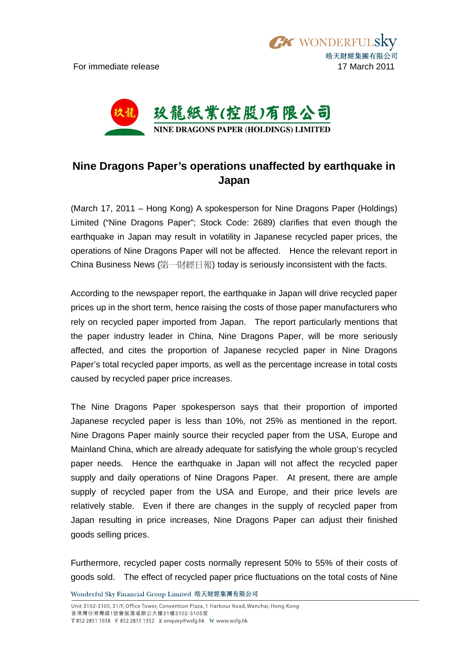

## **Nine Dragons Paper's operations unaffected by earthquake in Japan**

(March 17, 2011 – Hong Kong) A spokesperson for Nine Dragons Paper (Holdings) Limited ("Nine Dragons Paper"; Stock Code: 2689) clarifies that even though the earthquake in Japan may result in volatility in Japanese recycled paper prices, the operations of Nine Dragons Paper will not be affected. Hence the relevant report in China Business News (第一財經日報) today is seriously inconsistent with the facts.

According to the newspaper report, the earthquake in Japan will drive recycled paper prices up in the short term, hence raising the costs of those paper manufacturers who rely on recycled paper imported from Japan. The report particularly mentions that the paper industry leader in China, Nine Dragons Paper, will be more seriously affected, and cites the proportion of Japanese recycled paper in Nine Dragons Paper's total recycled paper imports, as well as the percentage increase in total costs caused by recycled paper price increases.

The Nine Dragons Paper spokesperson says that their proportion of imported Japanese recycled paper is less than 10%, not 25% as mentioned in the report. Nine Dragons Paper mainly source their recycled paper from the USA, Europe and Mainland China, which are already adequate for satisfying the whole group's recycled paper needs. Hence the earthquake in Japan will not affect the recycled paper supply and daily operations of Nine Dragons Paper. At present, there are ample supply of recycled paper from the USA and Europe, and their price levels are relatively stable. Even if there are changes in the supply of recycled paper from Japan resulting in price increases, Nine Dragons Paper can adjust their finished goods selling prices.

Furthermore, recycled paper costs normally represent 50% to 55% of their costs of goods sold. The effect of recycled paper price fluctuations on the total costs of Nine

Wonderful Sky Financial Group Limited 皓天財經集團有限公司